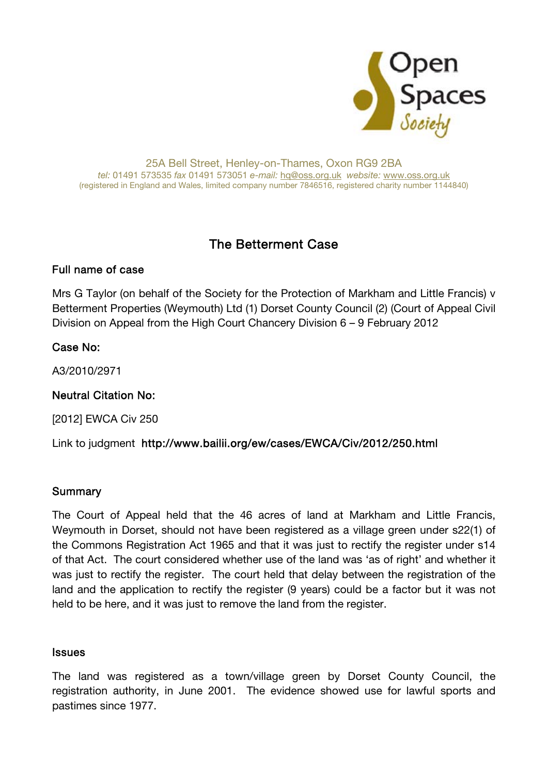

#### 25A Bell Street, Henley-on-Thames, Oxon RG9 2BA tel: 01491 573535 fax 01491 573051 e-mail: hq@oss.org.uk website: www.oss.org.uk (registered in England and Wales, limited company number 7846516, registered charity number 1144840)

# The Betterment Case

## Full name of case

Mrs G Taylor (on behalf of the Society for the Protection of Markham and Little Francis) v Betterment Properties (Weymouth) Ltd (1) Dorset County Council (2) (Court of Appeal Civil Division on Appeal from the High Court Chancery Division 6 – 9 February 2012

## Case No:

A3/2010/2971

## Neutral Citation No:

[2012] EWCA Civ 250

Link to judgment http://www.bailii.org/ew/cases/EWCA/Civ/2012/250.html

## **Summary**

The Court of Appeal held that the 46 acres of land at Markham and Little Francis, Weymouth in Dorset, should not have been registered as a village green under s22(1) of the Commons Registration Act 1965 and that it was just to rectify the register under s14 of that Act. The court considered whether use of the land was 'as of right' and whether it was just to rectify the register. The court held that delay between the registration of the land and the application to rectify the register (9 years) could be a factor but it was not held to be here, and it was just to remove the land from the register.

### **Issues**

The land was registered as a town/village green by Dorset County Council, the registration authority, in June 2001. The evidence showed use for lawful sports and pastimes since 1977.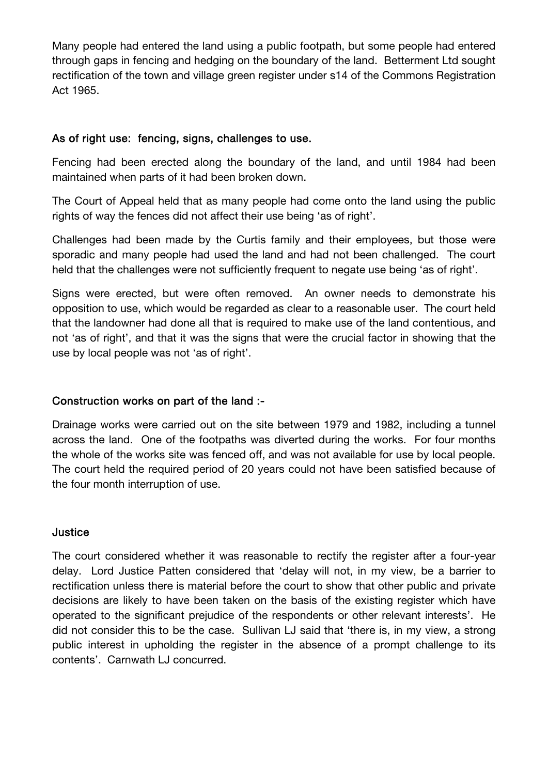Many people had entered the land using a public footpath, but some people had entered through gaps in fencing and hedging on the boundary of the land. Betterment Ltd sought rectification of the town and village green register under s14 of the Commons Registration Act 1965.

## As of right use: fencing, signs, challenges to use.

Fencing had been erected along the boundary of the land, and until 1984 had been maintained when parts of it had been broken down.

The Court of Appeal held that as many people had come onto the land using the public rights of way the fences did not affect their use being 'as of right'.

Challenges had been made by the Curtis family and their employees, but those were sporadic and many people had used the land and had not been challenged. The court held that the challenges were not sufficiently frequent to negate use being 'as of right'.

Signs were erected, but were often removed. An owner needs to demonstrate his opposition to use, which would be regarded as clear to a reasonable user. The court held that the landowner had done all that is required to make use of the land contentious, and not 'as of right', and that it was the signs that were the crucial factor in showing that the use by local people was not 'as of right'.

## Construction works on part of the land :-

Drainage works were carried out on the site between 1979 and 1982, including a tunnel across the land. One of the footpaths was diverted during the works. For four months the whole of the works site was fenced off, and was not available for use by local people. The court held the required period of 20 years could not have been satisfied because of the four month interruption of use.

### **Justice**

The court considered whether it was reasonable to rectify the register after a four-year delay. Lord Justice Patten considered that 'delay will not, in my view, be a barrier to rectification unless there is material before the court to show that other public and private decisions are likely to have been taken on the basis of the existing register which have operated to the significant prejudice of the respondents or other relevant interests'. He did not consider this to be the case. Sullivan LJ said that 'there is, in my view, a strong public interest in upholding the register in the absence of a prompt challenge to its contents'. Carnwath LJ concurred.